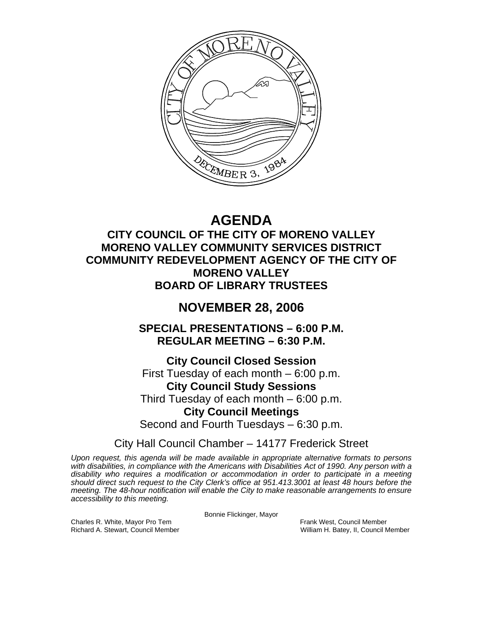

# **AGENDA**

### **CITY COUNCIL OF THE CITY OF MORENO VALLEY MORENO VALLEY COMMUNITY SERVICES DISTRICT COMMUNITY REDEVELOPMENT AGENCY OF THE CITY OF MORENO VALLEY BOARD OF LIBRARY TRUSTEES**

## **NOVEMBER 28, 2006**

**SPECIAL PRESENTATIONS – 6:00 P.M. REGULAR MEETING – 6:30 P.M.** 

**City Council Closed Session**  First Tuesday of each month – 6:00 p.m. **City Council Study Sessions**  Third Tuesday of each month – 6:00 p.m. **City Council Meetings**  Second and Fourth Tuesdays – 6:30 p.m.

City Hall Council Chamber – 14177 Frederick Street

*Upon request, this agenda will be made available in appropriate alternative formats to persons with disabilities, in compliance with the Americans with Disabilities Act of 1990. Any person with a disability who requires a modification or accommodation in order to participate in a meeting should direct such request to the City Clerk's office at 951.413.3001 at least 48 hours before the meeting. The 48-hour notification will enable the City to make reasonable arrangements to ensure accessibility to this meeting.* 

Bonnie Flickinger, Mayor

Charles R. White, Mayor Pro Tem Frank West, Council Member<br>
Richard A. Stewart, Council Member<br>
William H. Batey, II, Council N

William H. Batey, II, Council Member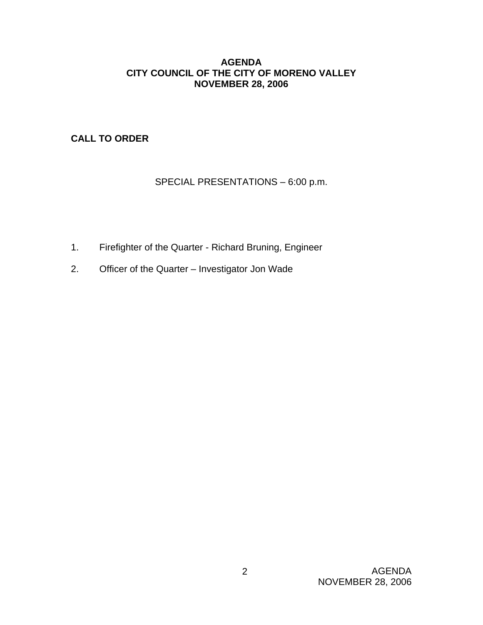#### **AGENDA CITY COUNCIL OF THE CITY OF MORENO VALLEY NOVEMBER 28, 2006**

**CALL TO ORDER**

### SPECIAL PRESENTATIONS – 6:00 p.m.

- 1. Firefighter of the Quarter Richard Bruning, Engineer
- 2. Officer of the Quarter Investigator Jon Wade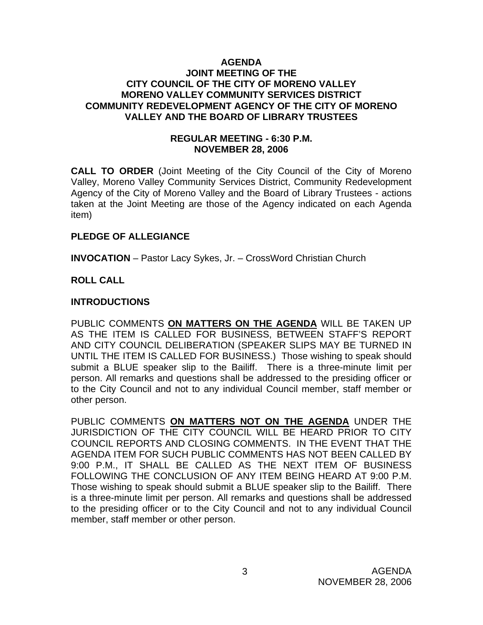#### **AGENDA JOINT MEETING OF THE CITY COUNCIL OF THE CITY OF MORENO VALLEY MORENO VALLEY COMMUNITY SERVICES DISTRICT COMMUNITY REDEVELOPMENT AGENCY OF THE CITY OF MORENO VALLEY AND THE BOARD OF LIBRARY TRUSTEES**

#### **REGULAR MEETING - 6:30 P.M. NOVEMBER 28, 2006**

**CALL TO ORDER** (Joint Meeting of the City Council of the City of Moreno Valley, Moreno Valley Community Services District, Community Redevelopment Agency of the City of Moreno Valley and the Board of Library Trustees - actions taken at the Joint Meeting are those of the Agency indicated on each Agenda item)

#### **PLEDGE OF ALLEGIANCE**

**INVOCATION** – Pastor Lacy Sykes, Jr. – CrossWord Christian Church

### **ROLL CALL**

### **INTRODUCTIONS**

PUBLIC COMMENTS **ON MATTERS ON THE AGENDA** WILL BE TAKEN UP AS THE ITEM IS CALLED FOR BUSINESS, BETWEEN STAFF'S REPORT AND CITY COUNCIL DELIBERATION (SPEAKER SLIPS MAY BE TURNED IN UNTIL THE ITEM IS CALLED FOR BUSINESS.) Those wishing to speak should submit a BLUE speaker slip to the Bailiff. There is a three-minute limit per person. All remarks and questions shall be addressed to the presiding officer or to the City Council and not to any individual Council member, staff member or other person.

PUBLIC COMMENTS **ON MATTERS NOT ON THE AGENDA** UNDER THE JURISDICTION OF THE CITY COUNCIL WILL BE HEARD PRIOR TO CITY COUNCIL REPORTS AND CLOSING COMMENTS. IN THE EVENT THAT THE AGENDA ITEM FOR SUCH PUBLIC COMMENTS HAS NOT BEEN CALLED BY 9:00 P.M., IT SHALL BE CALLED AS THE NEXT ITEM OF BUSINESS FOLLOWING THE CONCLUSION OF ANY ITEM BEING HEARD AT 9:00 P.M. Those wishing to speak should submit a BLUE speaker slip to the Bailiff. There is a three-minute limit per person. All remarks and questions shall be addressed to the presiding officer or to the City Council and not to any individual Council member, staff member or other person.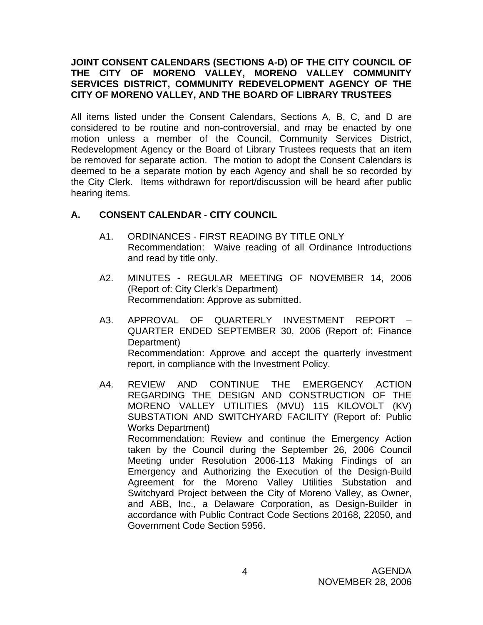### **JOINT CONSENT CALENDARS (SECTIONS A-D) OF THE CITY COUNCIL OF THE CITY OF MORENO VALLEY, MORENO VALLEY COMMUNITY SERVICES DISTRICT, COMMUNITY REDEVELOPMENT AGENCY OF THE CITY OF MORENO VALLEY, AND THE BOARD OF LIBRARY TRUSTEES**

All items listed under the Consent Calendars, Sections A, B, C, and D are considered to be routine and non-controversial, and may be enacted by one motion unless a member of the Council, Community Services District, Redevelopment Agency or the Board of Library Trustees requests that an item be removed for separate action. The motion to adopt the Consent Calendars is deemed to be a separate motion by each Agency and shall be so recorded by the City Clerk. Items withdrawn for report/discussion will be heard after public hearing items.

### **A. CONSENT CALENDAR** - **CITY COUNCIL**

- A1. ORDINANCES FIRST READING BY TITLE ONLY Recommendation: Waive reading of all Ordinance Introductions and read by title only.
- A2. MINUTES REGULAR MEETING OF NOVEMBER 14, 2006 (Report of: City Clerk's Department) Recommendation: Approve as submitted.
- A3. APPROVAL OF QUARTERLY INVESTMENT REPORT QUARTER ENDED SEPTEMBER 30, 2006 (Report of: Finance Department) Recommendation: Approve and accept the quarterly investment report, in compliance with the Investment Policy.
- A4. REVIEW AND CONTINUE THE EMERGENCY ACTION REGARDING THE DESIGN AND CONSTRUCTION OF THE MORENO VALLEY UTILITIES (MVU) 115 KILOVOLT (KV) SUBSTATION AND SWITCHYARD FACILITY (Report of: Public Works Department) Recommendation: Review and continue the Emergency Action taken by the Council during the September 26, 2006 Council Meeting under Resolution 2006-113 Making Findings of an Emergency and Authorizing the Execution of the Design-Build Agreement for the Moreno Valley Utilities Substation and Switchyard Project between the City of Moreno Valley, as Owner, and ABB, Inc., a Delaware Corporation, as Design-Builder in accordance with Public Contract Code Sections 20168, 22050, and Government Code Section 5956.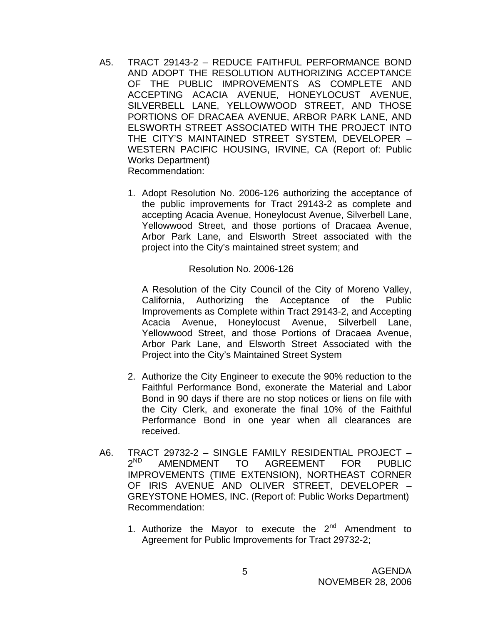- A5. TRACT 29143-2 REDUCE FAITHFUL PERFORMANCE BOND AND ADOPT THE RESOLUTION AUTHORIZING ACCEPTANCE OF THE PUBLIC IMPROVEMENTS AS COMPLETE AND ACCEPTING ACACIA AVENUE, HONEYLOCUST AVENUE, SILVERBELL LANE, YELLOWWOOD STREET, AND THOSE PORTIONS OF DRACAEA AVENUE, ARBOR PARK LANE, AND ELSWORTH STREET ASSOCIATED WITH THE PROJECT INTO THE CITY'S MAINTAINED STREET SYSTEM, DEVELOPER – WESTERN PACIFIC HOUSING, IRVINE, CA (Report of: Public Works Department) Recommendation:
	- 1. Adopt Resolution No. 2006-126 authorizing the acceptance of the public improvements for Tract 29143-2 as complete and accepting Acacia Avenue, Honeylocust Avenue, Silverbell Lane, Yellowwood Street, and those portions of Dracaea Avenue, Arbor Park Lane, and Elsworth Street associated with the project into the City's maintained street system; and

#### Resolution No. 2006-126

A Resolution of the City Council of the City of Moreno Valley, California, Authorizing the Acceptance of the Public Improvements as Complete within Tract 29143-2, and Accepting Acacia Avenue, Honeylocust Avenue, Silverbell Lane, Yellowwood Street, and those Portions of Dracaea Avenue, Arbor Park Lane, and Elsworth Street Associated with the Project into the City's Maintained Street System

- 2. Authorize the City Engineer to execute the 90% reduction to the Faithful Performance Bond, exonerate the Material and Labor Bond in 90 days if there are no stop notices or liens on file with the City Clerk, and exonerate the final 10% of the Faithful Performance Bond in one year when all clearances are received.
- A6. TRACT 29732-2 SINGLE FAMILY RESIDENTIAL PROJECT –<br>2<sup>ND</sup> AMENDMENT TO AGREEMENT FOR PUBLIC AMENDMENT TO AGREEMENT FOR PUBLIC IMPROVEMENTS (TIME EXTENSION), NORTHEAST CORNER OF IRIS AVENUE AND OLIVER STREET, DEVELOPER – GREYSTONE HOMES, INC. (Report of: Public Works Department) Recommendation:
	- 1. Authorize the Mayor to execute the  $2^{nd}$  Amendment to Agreement for Public Improvements for Tract 29732-2;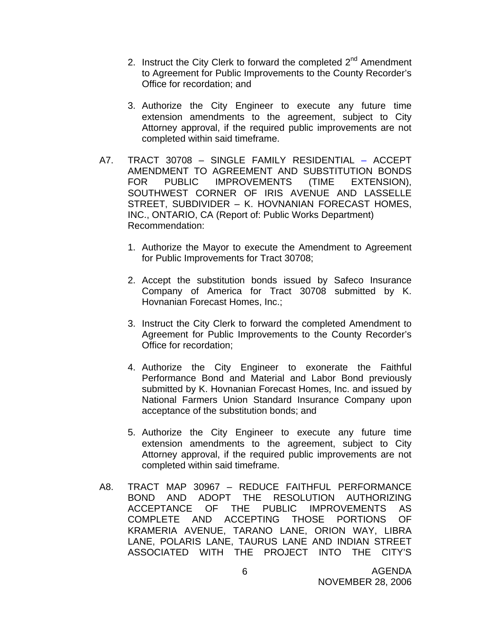- 2. Instruct the City Clerk to forward the completed  $2<sup>nd</sup>$  Amendment to Agreement for Public Improvements to the County Recorder's Office for recordation; and
- 3. Authorize the City Engineer to execute any future time extension amendments to the agreement, subject to City Attorney approval, if the required public improvements are not completed within said timeframe.
- A7. TRACT 30708 SINGLE FAMILY RESIDENTIAL ACCEPT AMENDMENT TO AGREEMENT AND SUBSTITUTION BONDS FOR PUBLIC IMPROVEMENTS (TIME EXTENSION), SOUTHWEST CORNER OF IRIS AVENUE AND LASSELLE STREET, SUBDIVIDER – K. HOVNANIAN FORECAST HOMES, INC., ONTARIO, CA (Report of: Public Works Department) Recommendation:
	- 1. Authorize the Mayor to execute the Amendment to Agreement for Public Improvements for Tract 30708;
	- 2. Accept the substitution bonds issued by Safeco Insurance Company of America for Tract 30708 submitted by K. Hovnanian Forecast Homes, Inc.;
	- 3. Instruct the City Clerk to forward the completed Amendment to Agreement for Public Improvements to the County Recorder's Office for recordation;
	- 4. Authorize the City Engineer to exonerate the Faithful Performance Bond and Material and Labor Bond previously submitted by K. Hovnanian Forecast Homes, Inc. and issued by National Farmers Union Standard Insurance Company upon acceptance of the substitution bonds; and
	- 5. Authorize the City Engineer to execute any future time extension amendments to the agreement, subject to City Attorney approval, if the required public improvements are not completed within said timeframe.
- A8. TRACT MAP 30967 REDUCE FAITHFUL PERFORMANCE BOND AND ADOPT THE RESOLUTION AUTHORIZING ACCEPTANCE OF THE PUBLIC IMPROVEMENTS AS COMPLETE AND ACCEPTING THOSE PORTIONS OF KRAMERIA AVENUE, TARANO LANE, ORION WAY, LIBRA LANE, POLARIS LANE, TAURUS LANE AND INDIAN STREET ASSOCIATED WITH THE PROJECT INTO THE CITY'S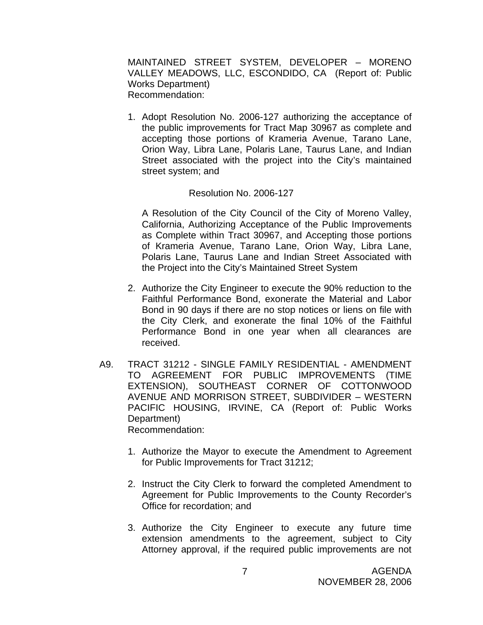MAINTAINED STREET SYSTEM, DEVELOPER – MORENO VALLEY MEADOWS, LLC, ESCONDIDO, CA (Report of: Public Works Department) Recommendation:

1. Adopt Resolution No. 2006-127 authorizing the acceptance of the public improvements for Tract Map 30967 as complete and accepting those portions of Krameria Avenue, Tarano Lane, Orion Way, Libra Lane, Polaris Lane, Taurus Lane, and Indian Street associated with the project into the City's maintained street system; and

#### Resolution No. 2006-127

A Resolution of the City Council of the City of Moreno Valley, California, Authorizing Acceptance of the Public Improvements as Complete within Tract 30967, and Accepting those portions of Krameria Avenue, Tarano Lane, Orion Way, Libra Lane, Polaris Lane, Taurus Lane and Indian Street Associated with the Project into the City's Maintained Street System

- 2. Authorize the City Engineer to execute the 90% reduction to the Faithful Performance Bond, exonerate the Material and Labor Bond in 90 days if there are no stop notices or liens on file with the City Clerk, and exonerate the final 10% of the Faithful Performance Bond in one year when all clearances are received.
- A9. TRACT 31212 SINGLE FAMILY RESIDENTIAL AMENDMENT TO AGREEMENT FOR PUBLIC IMPROVEMENTS (TIME EXTENSION), SOUTHEAST CORNER OF COTTONWOOD AVENUE AND MORRISON STREET, SUBDIVIDER – WESTERN PACIFIC HOUSING, IRVINE, CA (Report of: Public Works Department) Recommendation:
	- 1. Authorize the Mayor to execute the Amendment to Agreement for Public Improvements for Tract 31212;
	- 2. Instruct the City Clerk to forward the completed Amendment to Agreement for Public Improvements to the County Recorder's Office for recordation; and
	- 3. Authorize the City Engineer to execute any future time extension amendments to the agreement, subject to City Attorney approval, if the required public improvements are not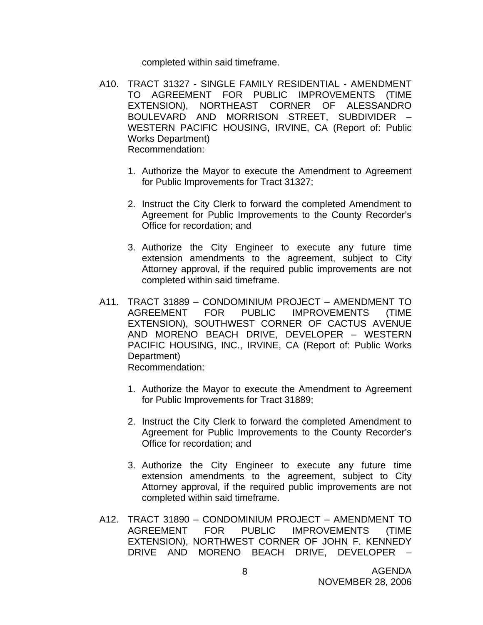completed within said timeframe.

- A10. TRACT 31327 SINGLE FAMILY RESIDENTIAL AMENDMENT TO AGREEMENT FOR PUBLIC IMPROVEMENTS (TIME EXTENSION), NORTHEAST CORNER OF ALESSANDRO BOULEVARD AND MORRISON STREET, SUBDIVIDER – WESTERN PACIFIC HOUSING, IRVINE, CA (Report of: Public Works Department) Recommendation:
	- 1. Authorize the Mayor to execute the Amendment to Agreement for Public Improvements for Tract 31327;
	- 2. Instruct the City Clerk to forward the completed Amendment to Agreement for Public Improvements to the County Recorder's Office for recordation; and
	- 3. Authorize the City Engineer to execute any future time extension amendments to the agreement, subject to City Attorney approval, if the required public improvements are not completed within said timeframe.
- A11. TRACT 31889 CONDOMINIUM PROJECT AMENDMENT TO AGREEMENT FOR PUBLIC IMPROVEMENTS (TIME EXTENSION), SOUTHWEST CORNER OF CACTUS AVENUE AND MORENO BEACH DRIVE, DEVELOPER – WESTERN PACIFIC HOUSING, INC., IRVINE, CA (Report of: Public Works Department) Recommendation:
	- 1. Authorize the Mayor to execute the Amendment to Agreement for Public Improvements for Tract 31889;
	- 2. Instruct the City Clerk to forward the completed Amendment to Agreement for Public Improvements to the County Recorder's Office for recordation; and
	- 3. Authorize the City Engineer to execute any future time extension amendments to the agreement, subject to City Attorney approval, if the required public improvements are not completed within said timeframe.
- A12. TRACT 31890 CONDOMINIUM PROJECT AMENDMENT TO AGREEMENT FOR PUBLIC IMPROVEMENTS (TIME EXTENSION), NORTHWEST CORNER OF JOHN F. KENNEDY DRIVE AND MORENO BEACH DRIVE, DEVELOPER –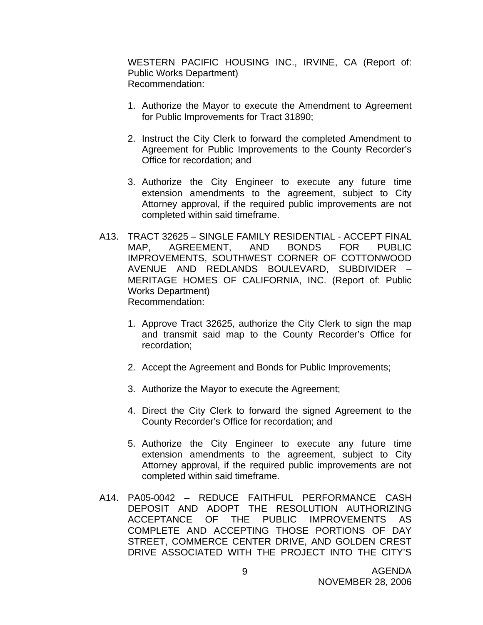WESTERN PACIFIC HOUSING INC., IRVINE, CA (Report of: Public Works Department) Recommendation:

- 1. Authorize the Mayor to execute the Amendment to Agreement for Public Improvements for Tract 31890;
- 2. Instruct the City Clerk to forward the completed Amendment to Agreement for Public Improvements to the County Recorder's Office for recordation; and
- 3. Authorize the City Engineer to execute any future time extension amendments to the agreement, subject to City Attorney approval, if the required public improvements are not completed within said timeframe.
- A13. TRACT 32625 SINGLE FAMILY RESIDENTIAL ACCEPT FINAL MAP, AGREEMENT, AND BONDS FOR PUBLIC IMPROVEMENTS, SOUTHWEST CORNER OF COTTONWOOD AVENUE AND REDLANDS BOULEVARD, SUBDIVIDER – MERITAGE HOMES OF CALIFORNIA, INC. (Report of: Public Works Department) Recommendation:
	- 1. Approve Tract 32625, authorize the City Clerk to sign the map and transmit said map to the County Recorder's Office for recordation;
	- 2. Accept the Agreement and Bonds for Public Improvements;
	- 3. Authorize the Mayor to execute the Agreement;
	- 4. Direct the City Clerk to forward the signed Agreement to the County Recorder's Office for recordation; and
	- 5. Authorize the City Engineer to execute any future time extension amendments to the agreement, subject to City Attorney approval, if the required public improvements are not completed within said timeframe.
- A14. PA05-0042 REDUCE FAITHFUL PERFORMANCE CASH DEPOSIT AND ADOPT THE RESOLUTION AUTHORIZING ACCEPTANCE OF THE PUBLIC IMPROVEMENTS AS COMPLETE AND ACCEPTING THOSE PORTIONS OF DAY STREET, COMMERCE CENTER DRIVE, AND GOLDEN CREST DRIVE ASSOCIATED WITH THE PROJECT INTO THE CITY'S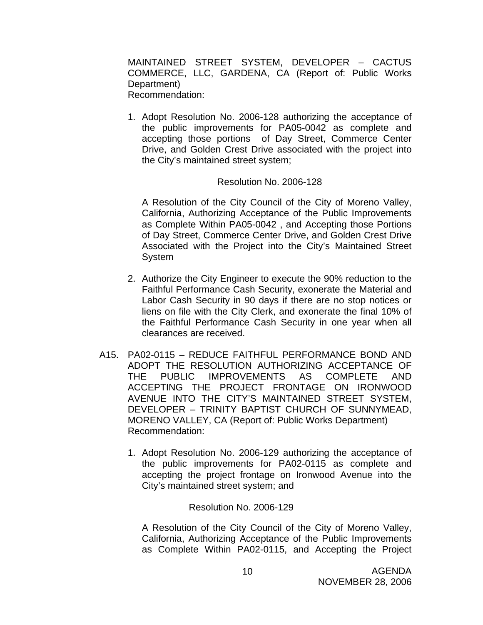MAINTAINED STREET SYSTEM, DEVELOPER – CACTUS COMMERCE, LLC, GARDENA, CA (Report of: Public Works Department) Recommendation:

1. Adopt Resolution No. 2006-128 authorizing the acceptance of the public improvements for PA05-0042 as complete and accepting those portions of Day Street, Commerce Center Drive, and Golden Crest Drive associated with the project into the City's maintained street system;

#### Resolution No. 2006-128

A Resolution of the City Council of the City of Moreno Valley, California, Authorizing Acceptance of the Public Improvements as Complete Within PA05-0042 , and Accepting those Portions of Day Street, Commerce Center Drive, and Golden Crest Drive Associated with the Project into the City's Maintained Street System

- 2. Authorize the City Engineer to execute the 90% reduction to the Faithful Performance Cash Security, exonerate the Material and Labor Cash Security in 90 days if there are no stop notices or liens on file with the City Clerk, and exonerate the final 10% of the Faithful Performance Cash Security in one year when all clearances are received.
- A15. PA02-0115 REDUCE FAITHFUL PERFORMANCE BOND AND ADOPT THE RESOLUTION AUTHORIZING ACCEPTANCE OF THE PUBLIC IMPROVEMENTS AS COMPLETE AND ACCEPTING THE PROJECT FRONTAGE ON IRONWOOD AVENUE INTO THE CITY'S MAINTAINED STREET SYSTEM, DEVELOPER – TRINITY BAPTIST CHURCH OF SUNNYMEAD, MORENO VALLEY, CA (Report of: Public Works Department) Recommendation:
	- 1. Adopt Resolution No. 2006-129 authorizing the acceptance of the public improvements for PA02-0115 as complete and accepting the project frontage on Ironwood Avenue into the City's maintained street system; and

#### Resolution No. 2006-129

A Resolution of the City Council of the City of Moreno Valley, California, Authorizing Acceptance of the Public Improvements as Complete Within PA02-0115, and Accepting the Project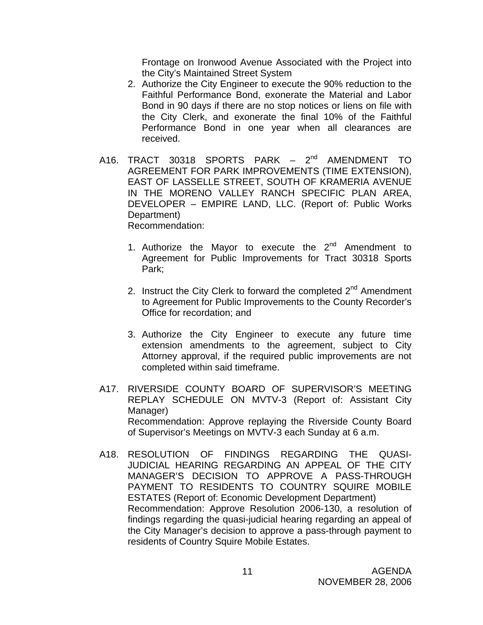Frontage on Ironwood Avenue Associated with the Project into the City's Maintained Street System

- 2. Authorize the City Engineer to execute the 90% reduction to the Faithful Performance Bond, exonerate the Material and Labor Bond in 90 days if there are no stop notices or liens on file with the City Clerk, and exonerate the final 10% of the Faithful Performance Bond in one year when all clearances are received.
- A16. TRACT 30318 SPORTS PARK 2<sup>nd</sup> AMENDMENT TO AGREEMENT FOR PARK IMPROVEMENTS (TIME EXTENSION), EAST OF LASSELLE STREET, SOUTH OF KRAMERIA AVENUE IN THE MORENO VALLEY RANCH SPECIFIC PLAN AREA, DEVELOPER – EMPIRE LAND, LLC. (Report of: Public Works Department) Recommendation:
	- 1. Authorize the Mayor to execute the  $2^{nd}$  Amendment to Agreement for Public Improvements for Tract 30318 Sports Park;
	- 2. Instruct the City Clerk to forward the completed  $2<sup>nd</sup>$  Amendment to Agreement for Public Improvements to the County Recorder's Office for recordation; and
	- 3. Authorize the City Engineer to execute any future time extension amendments to the agreement, subject to City Attorney approval, if the required public improvements are not completed within said timeframe.
- A17. RIVERSIDE COUNTY BOARD OF SUPERVISOR'S MEETING REPLAY SCHEDULE ON MVTV-3 (Report of: Assistant City Manager) Recommendation: Approve replaying the Riverside County Board of Supervisor's Meetings on MVTV-3 each Sunday at 6 a.m.
- A18. RESOLUTION OF FINDINGS REGARDING THE QUASI-JUDICIAL HEARING REGARDING AN APPEAL OF THE CITY MANAGER'S DECISION TO APPROVE A PASS-THROUGH PAYMENT TO RESIDENTS TO COUNTRY SQUIRE MOBILE ESTATES (Report of: Economic Development Department) Recommendation: Approve Resolution 2006-130, a resolution of findings regarding the quasi-judicial hearing regarding an appeal of the City Manager's decision to approve a pass-through payment to residents of Country Squire Mobile Estates.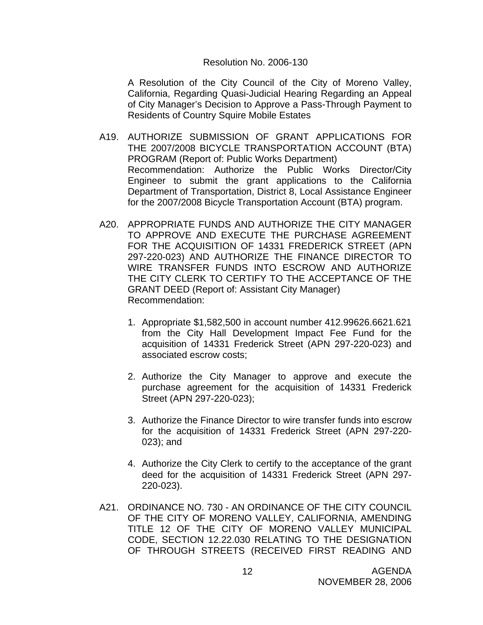#### Resolution No. 2006-130

A Resolution of the City Council of the City of Moreno Valley, California, Regarding Quasi-Judicial Hearing Regarding an Appeal of City Manager's Decision to Approve a Pass-Through Payment to Residents of Country Squire Mobile Estates

- A19. AUTHORIZE SUBMISSION OF GRANT APPLICATIONS FOR THE 2007/2008 BICYCLE TRANSPORTATION ACCOUNT (BTA) PROGRAM (Report of: Public Works Department) Recommendation: Authorize the Public Works Director/City Engineer to submit the grant applications to the California Department of Transportation, District 8, Local Assistance Engineer for the 2007/2008 Bicycle Transportation Account (BTA) program.
- A20. APPROPRIATE FUNDS AND AUTHORIZE THE CITY MANAGER TO APPROVE AND EXECUTE THE PURCHASE AGREEMENT FOR THE ACQUISITION OF 14331 FREDERICK STREET (APN 297-220-023) AND AUTHORIZE THE FINANCE DIRECTOR TO WIRE TRANSFER FUNDS INTO ESCROW AND AUTHORIZE THE CITY CLERK TO CERTIFY TO THE ACCEPTANCE OF THE GRANT DEED (Report of: Assistant City Manager) Recommendation:
	- 1. Appropriate \$1,582,500 in account number 412.99626.6621.621 from the City Hall Development Impact Fee Fund for the acquisition of 14331 Frederick Street (APN 297-220-023) and associated escrow costs;
	- 2. Authorize the City Manager to approve and execute the purchase agreement for the acquisition of 14331 Frederick Street (APN 297-220-023);
	- 3. Authorize the Finance Director to wire transfer funds into escrow for the acquisition of 14331 Frederick Street (APN 297-220- 023); and
	- 4. Authorize the City Clerk to certify to the acceptance of the grant deed for the acquisition of 14331 Frederick Street (APN 297- 220-023).
- A21. ORDINANCE NO. 730 AN ORDINANCE OF THE CITY COUNCIL OF THE CITY OF MORENO VALLEY, CALIFORNIA, AMENDING TITLE 12 OF THE CITY OF MORENO VALLEY MUNICIPAL CODE, SECTION 12.22.030 RELATING TO THE DESIGNATION OF THROUGH STREETS (RECEIVED FIRST READING AND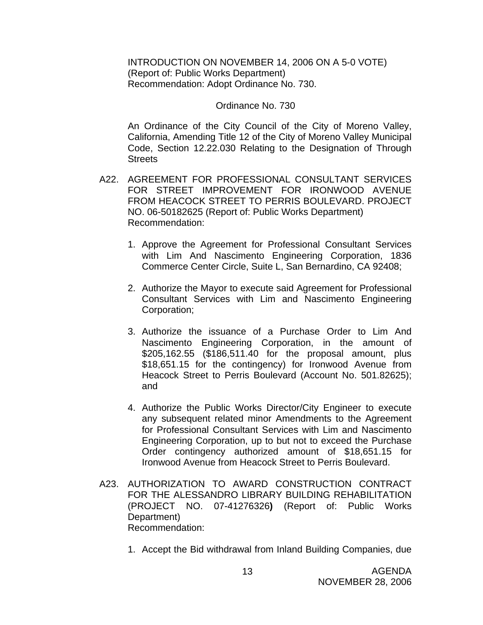INTRODUCTION ON NOVEMBER 14, 2006 ON A 5-0 VOTE) (Report of: Public Works Department) Recommendation: Adopt Ordinance No. 730.

#### Ordinance No. 730

An Ordinance of the City Council of the City of Moreno Valley, California, Amending Title 12 of the City of Moreno Valley Municipal Code, Section 12.22.030 Relating to the Designation of Through **Streets** 

- A22. AGREEMENT FOR PROFESSIONAL CONSULTANT SERVICES FOR STREET IMPROVEMENT FOR IRONWOOD AVENUE FROM HEACOCK STREET TO PERRIS BOULEVARD. PROJECT NO. 06-50182625 (Report of: Public Works Department) Recommendation:
	- 1. Approve the Agreement for Professional Consultant Services with Lim And Nascimento Engineering Corporation, 1836 Commerce Center Circle, Suite L, San Bernardino, CA 92408;
	- 2. Authorize the Mayor to execute said Agreement for Professional Consultant Services with Lim and Nascimento Engineering Corporation;
	- 3. Authorize the issuance of a Purchase Order to Lim And Nascimento Engineering Corporation, in the amount of \$205,162.55 (\$186,511.40 for the proposal amount, plus \$18,651.15 for the contingency) for Ironwood Avenue from Heacock Street to Perris Boulevard (Account No. 501.82625); and
	- 4. Authorize the Public Works Director/City Engineer to execute any subsequent related minor Amendments to the Agreement for Professional Consultant Services with Lim and Nascimento Engineering Corporation, up to but not to exceed the Purchase Order contingency authorized amount of \$18,651.15 for Ironwood Avenue from Heacock Street to Perris Boulevard.
- A23. AUTHORIZATION TO AWARD CONSTRUCTION CONTRACT FOR THE ALESSANDRO LIBRARY BUILDING REHABILITATION (PROJECT NO. 07-41276326**)** (Report of: Public Works Department) Recommendation:
	- 1. Accept the Bid withdrawal from Inland Building Companies, due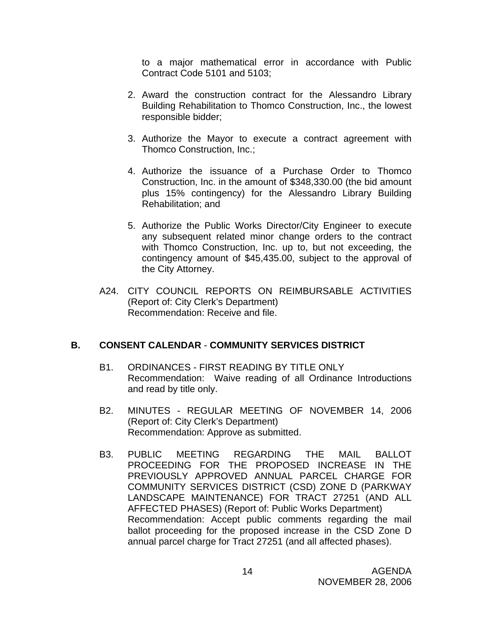to a major mathematical error in accordance with Public Contract Code 5101 and 5103;

- 2. Award the construction contract for the Alessandro Library Building Rehabilitation to Thomco Construction, Inc., the lowest responsible bidder;
- 3. Authorize the Mayor to execute a contract agreement with Thomco Construction, Inc.;
- 4. Authorize the issuance of a Purchase Order to Thomco Construction, Inc. in the amount of \$348,330.00 (the bid amount plus 15% contingency) for the Alessandro Library Building Rehabilitation; and
- 5. Authorize the Public Works Director/City Engineer to execute any subsequent related minor change orders to the contract with Thomco Construction, Inc. up to, but not exceeding, the contingency amount of \$45,435.00, subject to the approval of the City Attorney.
- A24. CITY COUNCIL REPORTS ON REIMBURSABLE ACTIVITIES (Report of: City Clerk's Department) Recommendation: Receive and file.

#### **B. CONSENT CALENDAR** - **COMMUNITY SERVICES DISTRICT**

- B1. ORDINANCES FIRST READING BY TITLE ONLY Recommendation: Waive reading of all Ordinance Introductions and read by title only.
- B2. MINUTES REGULAR MEETING OF NOVEMBER 14, 2006 (Report of: City Clerk's Department) Recommendation: Approve as submitted.
- B3. PUBLIC MEETING REGARDING THE MAIL BALLOT PROCEEDING FOR THE PROPOSED INCREASE IN THE PREVIOUSLY APPROVED ANNUAL PARCEL CHARGE FOR COMMUNITY SERVICES DISTRICT (CSD) ZONE D (PARKWAY LANDSCAPE MAINTENANCE) FOR TRACT 27251 (AND ALL AFFECTED PHASES) (Report of: Public Works Department) Recommendation: Accept public comments regarding the mail ballot proceeding for the proposed increase in the CSD Zone D annual parcel charge for Tract 27251 (and all affected phases).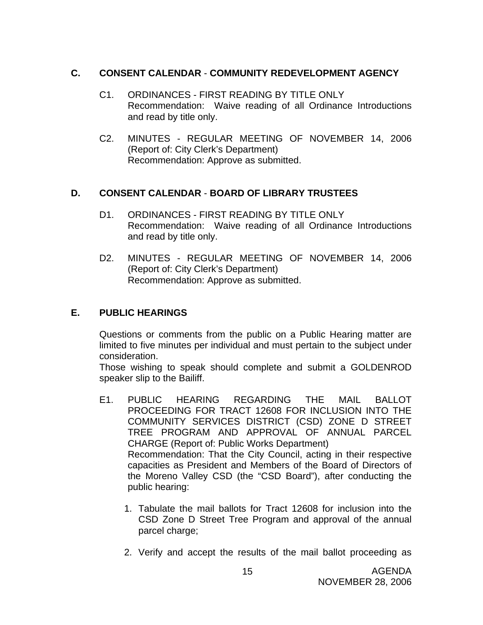### **C. CONSENT CALENDAR** - **COMMUNITY REDEVELOPMENT AGENCY**

- C1. ORDINANCES FIRST READING BY TITLE ONLY Recommendation: Waive reading of all Ordinance Introductions and read by title only.
- C2. MINUTES REGULAR MEETING OF NOVEMBER 14, 2006 (Report of: City Clerk's Department) Recommendation: Approve as submitted.

### **D. CONSENT CALENDAR** - **BOARD OF LIBRARY TRUSTEES**

- D1. ORDINANCES FIRST READING BY TITLE ONLY Recommendation: Waive reading of all Ordinance Introductions and read by title only.
- D2. MINUTES REGULAR MEETING OF NOVEMBER 14, 2006 (Report of: City Clerk's Department) Recommendation: Approve as submitted.

### **E. PUBLIC HEARINGS**

Questions or comments from the public on a Public Hearing matter are limited to five minutes per individual and must pertain to the subject under consideration.

 Those wishing to speak should complete and submit a GOLDENROD speaker slip to the Bailiff.

- E1. PUBLIC HEARING REGARDING THE MAIL BALLOT PROCEEDING FOR TRACT 12608 FOR INCLUSION INTO THE COMMUNITY SERVICES DISTRICT (CSD) ZONE D STREET TREE PROGRAM AND APPROVAL OF ANNUAL PARCEL CHARGE (Report of: Public Works Department) Recommendation: That the City Council, acting in their respective capacities as President and Members of the Board of Directors of the Moreno Valley CSD (the "CSD Board"), after conducting the public hearing:
	- 1. Tabulate the mail ballots for Tract 12608 for inclusion into the CSD Zone D Street Tree Program and approval of the annual parcel charge;
	- 2. Verify and accept the results of the mail ballot proceeding as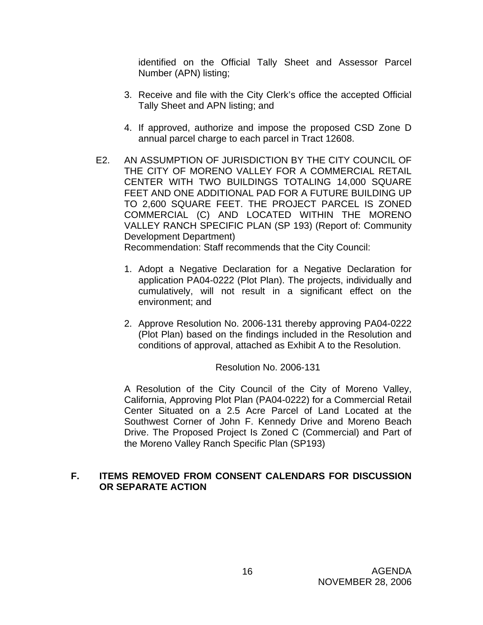identified on the Official Tally Sheet and Assessor Parcel Number (APN) listing;

- 3. Receive and file with the City Clerk's office the accepted Official Tally Sheet and APN listing; and
- 4. If approved, authorize and impose the proposed CSD Zone D annual parcel charge to each parcel in Tract 12608.
- E2. AN ASSUMPTION OF JURISDICTION BY THE CITY COUNCIL OF THE CITY OF MORENO VALLEY FOR A COMMERCIAL RETAIL CENTER WITH TWO BUILDINGS TOTALING 14,000 SQUARE FEET AND ONE ADDITIONAL PAD FOR A FUTURE BUILDING UP TO 2,600 SQUARE FEET. THE PROJECT PARCEL IS ZONED COMMERCIAL (C) AND LOCATED WITHIN THE MORENO VALLEY RANCH SPECIFIC PLAN (SP 193) (Report of: Community Development Department) Recommendation: Staff recommends that the City Council:

- 1. Adopt a Negative Declaration for a Negative Declaration for application PA04-0222 (Plot Plan). The projects, individually and cumulatively, will not result in a significant effect on the environment; and
- 2. Approve Resolution No. 2006-131 thereby approving PA04-0222 (Plot Plan) based on the findings included in the Resolution and conditions of approval, attached as Exhibit A to the Resolution.

#### Resolution No. 2006-131

A Resolution of the City Council of the City of Moreno Valley, California, Approving Plot Plan (PA04-0222) for a Commercial Retail Center Situated on a 2.5 Acre Parcel of Land Located at the Southwest Corner of John F. Kennedy Drive and Moreno Beach Drive. The Proposed Project Is Zoned C (Commercial) and Part of the Moreno Valley Ranch Specific Plan (SP193)

### **F. ITEMS REMOVED FROM CONSENT CALENDARS FOR DISCUSSION OR SEPARATE ACTION**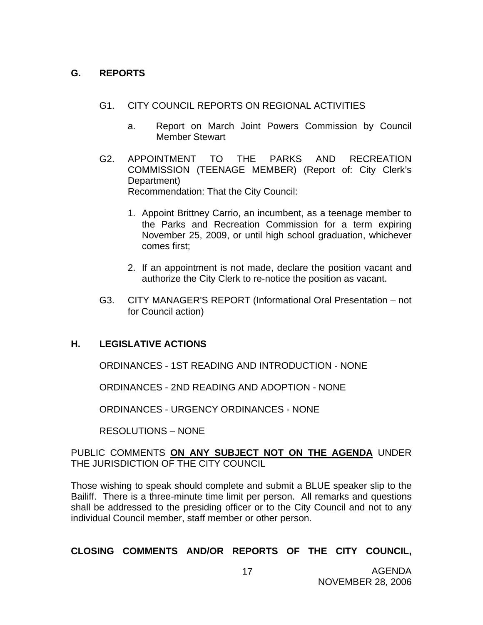### **G. REPORTS**

- G1. CITY COUNCIL REPORTS ON REGIONAL ACTIVITIES
	- a. Report on March Joint Powers Commission by Council Member Stewart
- G2. APPOINTMENT TO THE PARKS AND RECREATION COMMISSION (TEENAGE MEMBER) (Report of: City Clerk's Department) Recommendation: That the City Council:
	- 1. Appoint Brittney Carrio, an incumbent, as a teenage member to the Parks and Recreation Commission for a term expiring November 25, 2009, or until high school graduation, whichever comes first;
	- 2. If an appointment is not made, declare the position vacant and authorize the City Clerk to re-notice the position as vacant.
- G3. CITY MANAGER'S REPORT (Informational Oral Presentation not for Council action)

### **H. LEGISLATIVE ACTIONS**

ORDINANCES - 1ST READING AND INTRODUCTION - NONE

ORDINANCES - 2ND READING AND ADOPTION - NONE

ORDINANCES - URGENCY ORDINANCES - NONE

RESOLUTIONS – NONE

#### PUBLIC COMMENTS **ON ANY SUBJECT NOT ON THE AGENDA** UNDER THE JURISDICTION OF THE CITY COUNCIL

Those wishing to speak should complete and submit a BLUE speaker slip to the Bailiff. There is a three-minute time limit per person. All remarks and questions shall be addressed to the presiding officer or to the City Council and not to any individual Council member, staff member or other person.

### **CLOSING COMMENTS AND/OR REPORTS OF THE CITY COUNCIL,**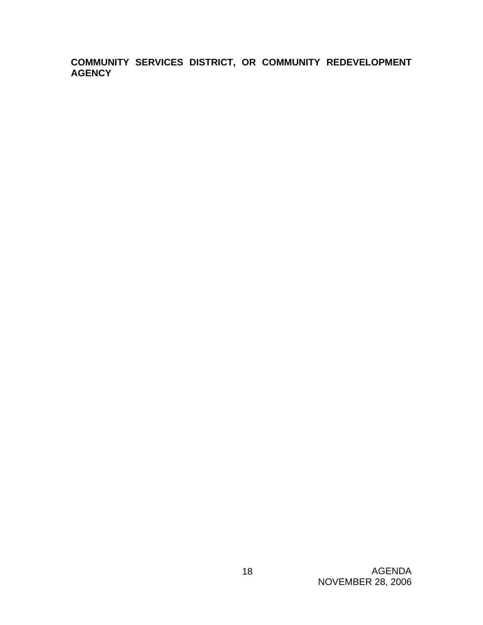**COMMUNITY SERVICES DISTRICT, OR COMMUNITY REDEVELOPMENT AGENCY**